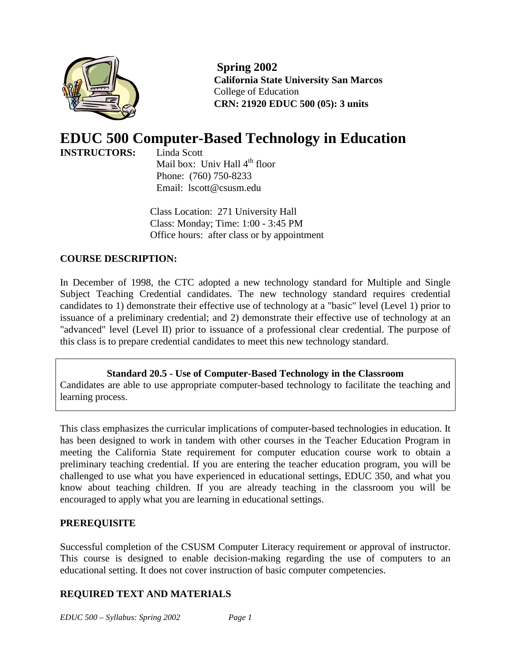

**Spring 2002 California State University San Marcos** College of Education **CRN: 21920 EDUC 500 (05): 3 units**

# **EDUC 500 Computer-Based Technology in Education INSTRUCTORS:**

Mail box: Univ Hall 4<sup>th</sup> floor Phone: (760) 750-8233 Email: lscott@csusm.edu

Class Location: 271 University Hall Class: Monday; Time: 1:00 - 3:45 PM Office hours: after class or by appointment

### **COURSE DESCRIPTION:**

In December of 1998, the CTC adopted a new technology standard for Multiple and Single Subject Teaching Credential candidates. The new technology standard requires credential candidates to 1) demonstrate their effective use of technology at a "basic" level (Level 1) prior to issuance of a preliminary credential; and 2) demonstrate their effective use of technology at an "advanced" level (Level II) prior to issuance of a professional clear credential. The purpose of this class is to prepare credential candidates to meet this new technology standard.

**Standard 20.5 - Use of Computer-Based Technology in the Classroom** Candidates are able to use appropriate computer-based technology to facilitate the teaching and learning process.

This class emphasizes the curricular implications of computer-based technologies in education. It has been designed to work in tandem with other courses in the Teacher Education Program in meeting the California State requirement for computer education course work to obtain a preliminary teaching credential. If you are entering the teacher education program, you will be challenged to use what you have experienced in educational settings, EDUC 350, and what you know about teaching children. If you are already teaching in the classroom you will be encouraged to apply what you are learning in educational settings.

### **PREREQUISITE**

Successful completion of the CSUSM Computer Literacy requirement or approval of instructor. This course is designed to enable decision-making regarding the use of computers to an educational setting. It does not cover instruction of basic computer competencies.

### **REQUIRED TEXT AND MATERIALS**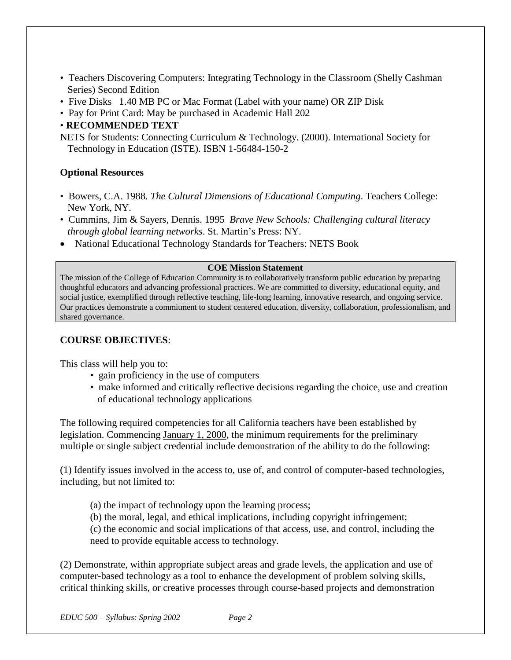- Teachers Discovering Computers: Integrating Technology in the Classroom (Shelly Cashman Series) Second Edition
- Five Disks 1.40 MB PC or Mac Format (Label with your name) OR ZIP Disk
- Pay for Print Card: May be purchased in Academic Hall 202

### • **RECOMMENDED TEXT**

NETS for Students: Connecting Curriculum & Technology. (2000). International Society for Technology in Education (ISTE). ISBN 1-56484-150-2

### **Optional Resources**

- Bowers, C.A. 1988. *The Cultural Dimensions of Educational Computing*. Teachers College: New York, NY.
- Cummins, Jim & Sayers, Dennis. 1995 *Brave New Schools: Challenging cultural literacy through global learning networks*. St. Martin's Press: NY.
- National Educational Technology Standards for Teachers: NETS Book

#### **COE Mission Statement**

The mission of the College of Education Community is to collaboratively transform public education by preparing thoughtful educators and advancing professional practices. We are committed to diversity, educational equity, and social justice, exemplified through reflective teaching, life-long learning, innovative research, and ongoing service. Our practices demonstrate a commitment to student centered education, diversity, collaboration, professionalism, and shared governance.

### **COURSE OBJECTIVES**:

This class will help you to:

- gain proficiency in the use of computers
- make informed and critically reflective decisions regarding the choice, use and creation of educational technology applications

The following required competencies for all California teachers have been established by legislation. Commencing January 1, 2000, the minimum requirements for the preliminary multiple or single subject credential include demonstration of the ability to do the following:

(1) Identify issues involved in the access to, use of, and control of computer-based technologies, including, but not limited to:

- (a) the impact of technology upon the learning process;
- (b) the moral, legal, and ethical implications, including copyright infringement;

(c) the economic and social implications of that access, use, and control, including the need to provide equitable access to technology.

(2) Demonstrate, within appropriate subject areas and grade levels, the application and use of computer-based technology as a tool to enhance the development of problem solving skills, critical thinking skills, or creative processes through course-based projects and demonstration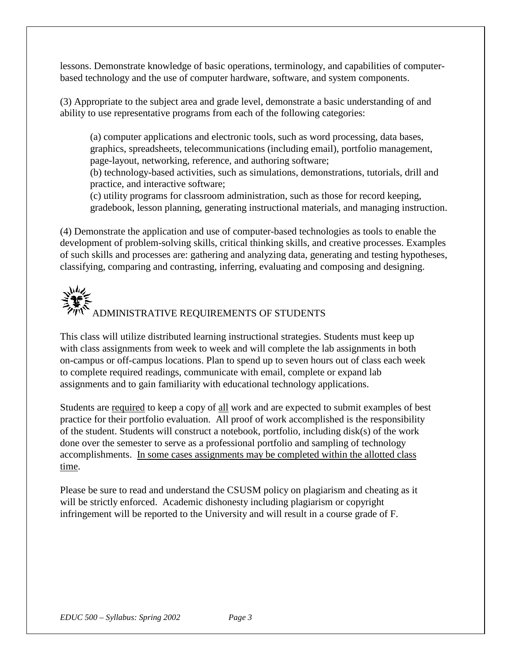lessons. Demonstrate knowledge of basic operations, terminology, and capabilities of computerbased technology and the use of computer hardware, software, and system components.

(3) Appropriate to the subject area and grade level, demonstrate a basic understanding of and ability to use representative programs from each of the following categories:

(a) computer applications and electronic tools, such as word processing, data bases, graphics, spreadsheets, telecommunications (including email), portfolio management, page-layout, networking, reference, and authoring software;

(b) technology-based activities, such as simulations, demonstrations, tutorials, drill and practice, and interactive software;

(c) utility programs for classroom administration, such as those for record keeping, gradebook, lesson planning, generating instructional materials, and managing instruction.

(4) Demonstrate the application and use of computer-based technologies as tools to enable the development of problem-solving skills, critical thinking skills, and creative processes. Examples of such skills and processes are: gathering and analyzing data, generating and testing hypotheses, classifying, comparing and contrasting, inferring, evaluating and composing and designing.

# いん ADMINISTRATIVE REQUIREMENTS OF STUDENTS

This class will utilize distributed learning instructional strategies. Students must keep up with class assignments from week to week and will complete the lab assignments in both on-campus or off-campus locations. Plan to spend up to seven hours out of class each week to complete required readings, communicate with email, complete or expand lab assignments and to gain familiarity with educational technology applications.

Students are required to keep a copy of all work and are expected to submit examples of best practice for their portfolio evaluation. All proof of work accomplished is the responsibility of the student. Students will construct a notebook, portfolio, including disk(s) of the work done over the semester to serve as a professional portfolio and sampling of technology accomplishments. In some cases assignments may be completed within the allotted class time.

Please be sure to read and understand the CSUSM policy on plagiarism and cheating as it will be strictly enforced. Academic dishonesty including plagiarism or copyright infringement will be reported to the University and will result in a course grade of F.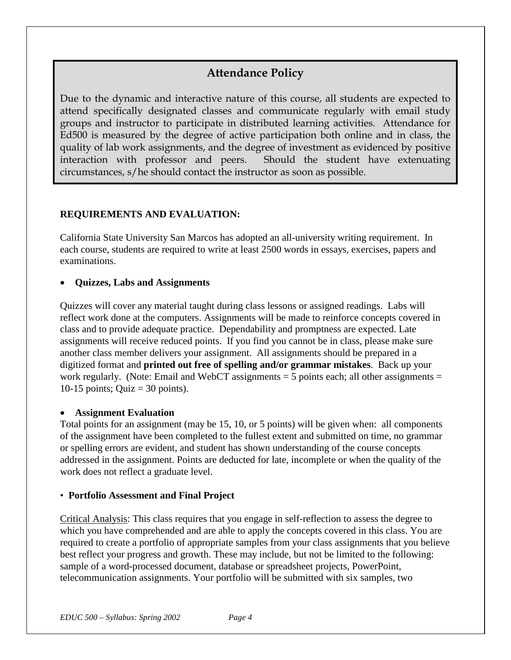# **Attendance Policy**

Due to the dynamic and interactive nature of this course, all students are expected to attend specifically designated classes and communicate regularly with email study groups and instructor to participate in distributed learning activities. Attendance for Ed500 is measured by the degree of active participation both online and in class, the quality of lab work assignments, and the degree of investment as evidenced by positive interaction with professor and peers. Should the student have extenuating circumstances, s/he should contact the instructor as soon as possible.

### **REQUIREMENTS AND EVALUATION:**

California State University San Marcos has adopted an all-university writing requirement. In each course, students are required to write at least 2500 words in essays, exercises, papers and examinations.

### • **Quizzes, Labs and Assignments**

Quizzes will cover any material taught during class lessons or assigned readings. Labs will reflect work done at the computers. Assignments will be made to reinforce concepts covered in class and to provide adequate practice. Dependability and promptness are expected. Late assignments will receive reduced points. If you find you cannot be in class, please make sure another class member delivers your assignment. All assignments should be prepared in a digitized format and **printed out free of spelling and/or grammar mistakes**. Back up your work regularly. (Note: Email and WebCT assignments  $=$  5 points each; all other assignments  $=$ 10-15 points; Quiz = 30 points).

### • **Assignment Evaluation**

Total points for an assignment (may be 15, 10, or 5 points) will be given when: all components of the assignment have been completed to the fullest extent and submitted on time, no grammar or spelling errors are evident, and student has shown understanding of the course concepts addressed in the assignment. Points are deducted for late, incomplete or when the quality of the work does not reflect a graduate level.

### • **Portfolio Assessment and Final Project**

Critical Analysis: This class requires that you engage in self-reflection to assess the degree to which you have comprehended and are able to apply the concepts covered in this class. You are required to create a portfolio of appropriate samples from your class assignments that you believe best reflect your progress and growth. These may include, but not be limited to the following: sample of a word-processed document, database or spreadsheet projects, PowerPoint, telecommunication assignments. Your portfolio will be submitted with six samples, two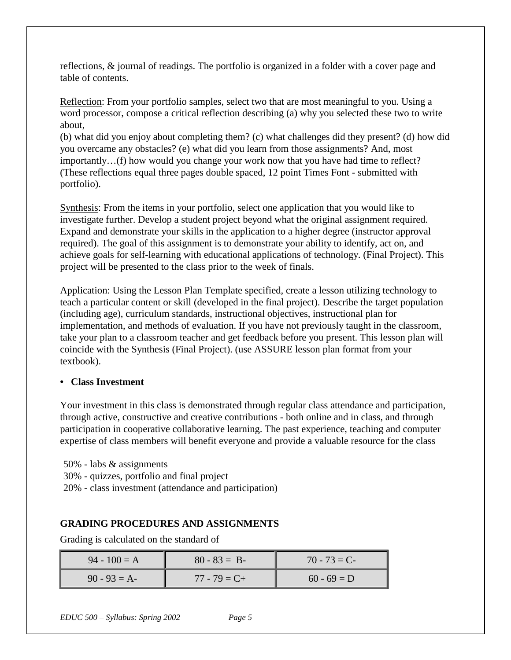reflections, & journal of readings. The portfolio is organized in a folder with a cover page and table of contents.

Reflection: From your portfolio samples, select two that are most meaningful to you. Using a word processor, compose a critical reflection describing (a) why you selected these two to write about,

(b) what did you enjoy about completing them? (c) what challenges did they present? (d) how did you overcame any obstacles? (e) what did you learn from those assignments? And, most importantly…(f) how would you change your work now that you have had time to reflect? (These reflections equal three pages double spaced, 12 point Times Font - submitted with portfolio).

Synthesis: From the items in your portfolio, select one application that you would like to investigate further. Develop a student project beyond what the original assignment required. Expand and demonstrate your skills in the application to a higher degree (instructor approval required). The goal of this assignment is to demonstrate your ability to identify, act on, and achieve goals for self-learning with educational applications of technology. (Final Project). This project will be presented to the class prior to the week of finals.

Application: Using the Lesson Plan Template specified, create a lesson utilizing technology to teach a particular content or skill (developed in the final project). Describe the target population (including age), curriculum standards, instructional objectives, instructional plan for implementation, and methods of evaluation. If you have not previously taught in the classroom, take your plan to a classroom teacher and get feedback before you present. This lesson plan will coincide with the Synthesis (Final Project). (use ASSURE lesson plan format from your textbook).

### **• Class Investment**

Your investment in this class is demonstrated through regular class attendance and participation, through active, constructive and creative contributions - both online and in class, and through participation in cooperative collaborative learning. The past experience, teaching and computer expertise of class members will benefit everyone and provide a valuable resource for the class

50% - labs & assignments

- 30% quizzes, portfolio and final project
- 20% class investment (attendance and participation)

### **GRADING PROCEDURES AND ASSIGNMENTS**

Grading is calculated on the standard of

| $94 - 100 = A$ | $80 - 83 = B$   | $70 - 73 = C$ |
|----------------|-----------------|---------------|
| $90 - 93 = A$  | $77 - 79 = C +$ | $60 - 69 = D$ |